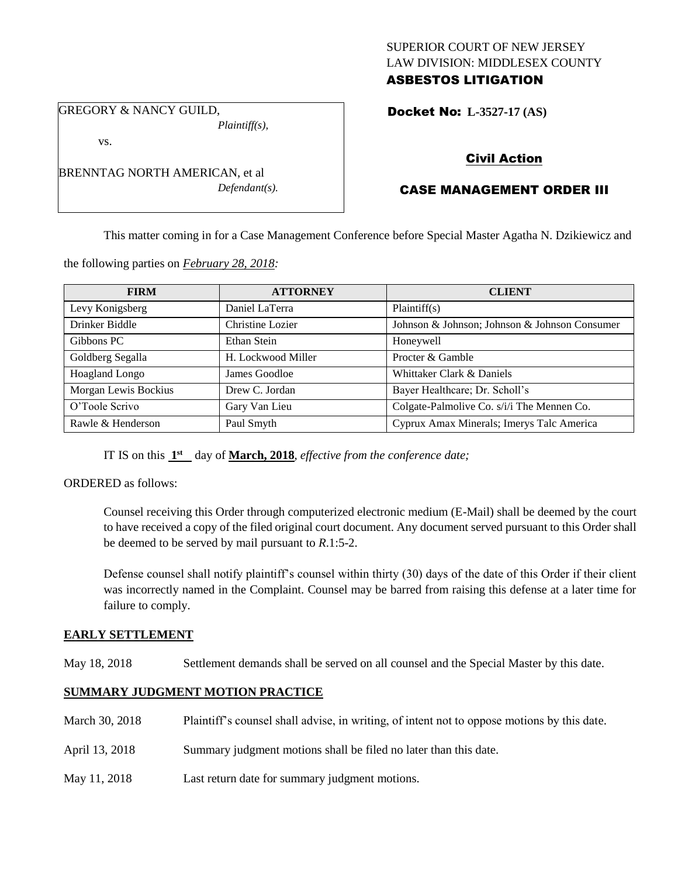## SUPERIOR COURT OF NEW JERSEY LAW DIVISION: MIDDLESEX COUNTY ASBESTOS LITIGATION

GREGORY & NANCY GUILD, *Plaintiff(s),*

vs.

BRENNTAG NORTH AMERICAN, et al *Defendant(s).*

# Docket No: **L-3527-17 (AS)**

# Civil Action

# CASE MANAGEMENT ORDER III

This matter coming in for a Case Management Conference before Special Master Agatha N. Dzikiewicz and

the following parties on *February 28, 2018:*

| <b>FIRM</b>          | <b>ATTORNEY</b>    | <b>CLIENT</b>                                 |
|----------------------|--------------------|-----------------------------------------------|
| Levy Konigsberg      | Daniel LaTerra     | Plaintiff(s)                                  |
| Drinker Biddle       | Christine Lozier   | Johnson & Johnson; Johnson & Johnson Consumer |
| Gibbons PC           | Ethan Stein        | Honeywell                                     |
| Goldberg Segalla     | H. Lockwood Miller | Procter & Gamble                              |
| Hoagland Longo       | James Goodloe      | Whittaker Clark & Daniels                     |
| Morgan Lewis Bockius | Drew C. Jordan     | Bayer Healthcare; Dr. Scholl's                |
| O'Toole Scrivo       | Gary Van Lieu      | Colgate-Palmolive Co. s/i/i The Mennen Co.    |
| Rawle & Henderson    | Paul Smyth         | Cyprux Amax Minerals; Imerys Talc America     |

IT IS on this  $1<sup>st</sup>$  day of **March, 2018**, *effective from the conference date*;

ORDERED as follows:

Counsel receiving this Order through computerized electronic medium (E-Mail) shall be deemed by the court to have received a copy of the filed original court document. Any document served pursuant to this Order shall be deemed to be served by mail pursuant to *R*.1:5-2.

Defense counsel shall notify plaintiff's counsel within thirty (30) days of the date of this Order if their client was incorrectly named in the Complaint. Counsel may be barred from raising this defense at a later time for failure to comply.

## **EARLY SETTLEMENT**

May 18, 2018 Settlement demands shall be served on all counsel and the Special Master by this date.

## **SUMMARY JUDGMENT MOTION PRACTICE**

- March 30, 2018 Plaintiff's counsel shall advise, in writing, of intent not to oppose motions by this date.
- April 13, 2018 Summary judgment motions shall be filed no later than this date.
- May 11, 2018 Last return date for summary judgment motions.